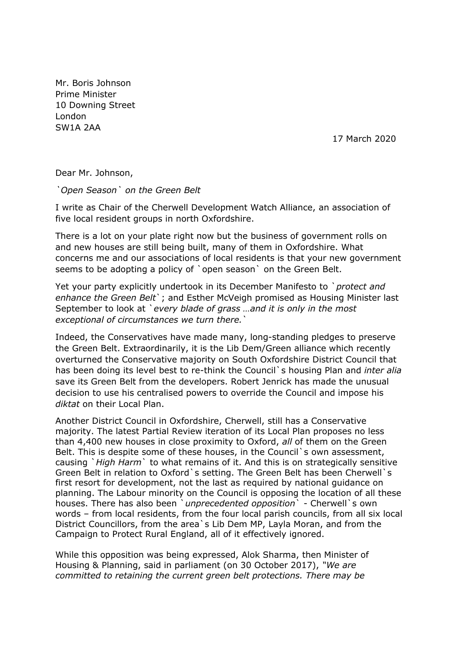Mr. Boris Johnson Prime Minister 10 Downing Street London SW1A 2AA

17 March 2020

Dear Mr. Johnson,

*`Open Season` on the Green Belt*

I write as Chair of the Cherwell Development Watch Alliance, an association of five local resident groups in north Oxfordshire.

There is a lot on your plate right now but the business of government rolls on and new houses are still being built, many of them in Oxfordshire. What concerns me and our associations of local residents is that your new government seems to be adopting a policy of `open season` on the Green Belt.

Yet your party explicitly undertook in its December Manifesto to `*protect and enhance the Green Belt*`; and Esther McVeigh promised as Housing Minister last September to look at `*every blade of grass …and it is only in the most exceptional of circumstances we turn there.*`

Indeed, the Conservatives have made many, long-standing pledges to preserve the Green Belt. Extraordinarily, it is the Lib Dem/Green alliance which recently overturned the Conservative majority on South Oxfordshire District Council that has been doing its level best to re-think the Council`s housing Plan and *inter alia* save its Green Belt from the developers. Robert Jenrick has made the unusual decision to use his centralised powers to override the Council and impose his *diktat* on their Local Plan.

Another District Council in Oxfordshire, Cherwell, still has a Conservative majority. The latest Partial Review iteration of its Local Plan proposes no less than 4,400 new houses in close proximity to Oxford, *all* of them on the Green Belt. This is despite some of these houses, in the Council's own assessment, causing `*High Harm*` to what remains of it. And this is on strategically sensitive Green Belt in relation to Oxford`s setting. The Green Belt has been Cherwell`s first resort for development, not the last as required by national guidance on planning. The Labour minority on the Council is opposing the location of all these houses. There has also been `*unprecedented opposition*` - Cherwell`s own words – from local residents, from the four local parish councils, from all six local District Councillors, from the area`s Lib Dem MP, Layla Moran, and from the Campaign to Protect Rural England, all of it effectively ignored.

While this opposition was being expressed, Alok Sharma, then Minister of Housing & Planning, said in parliament (on 30 October 2017), *"We are committed to retaining the current green belt protections. There may be*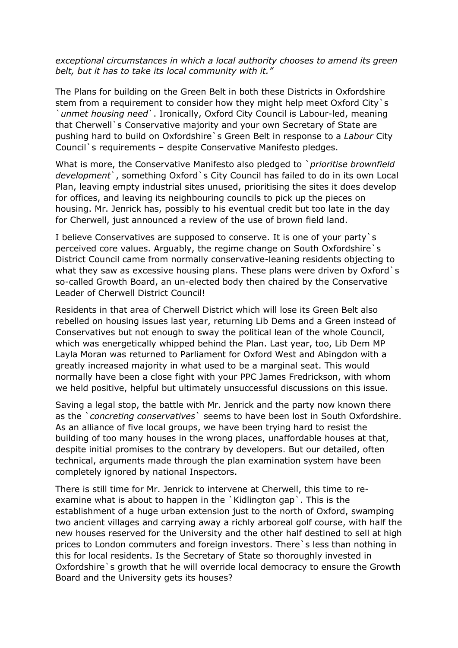## *exceptional circumstances in which a local authority chooses to amend its green belt, but it has to take its local community with it."*

The Plans for building on the Green Belt in both these Districts in Oxfordshire stem from a requirement to consider how they might help meet Oxford City`s `*unmet housing need*`. Ironically, Oxford City Council is Labour-led, meaning that Cherwell`s Conservative majority and your own Secretary of State are pushing hard to build on Oxfordshire`s Green Belt in response to a *Labour* City Council`s requirements – despite Conservative Manifesto pledges.

What is more, the Conservative Manifesto also pledged to `*prioritise brownfield development*`, something Oxford`s City Council has failed to do in its own Local Plan, leaving empty industrial sites unused, prioritising the sites it does develop for offices, and leaving its neighbouring councils to pick up the pieces on housing. Mr. Jenrick has, possibly to his eventual credit but too late in the day for Cherwell, just announced a review of the use of brown field land.

I believe Conservatives are supposed to conserve. It is one of your party`s perceived core values. Arguably, the regime change on South Oxfordshire`s District Council came from normally conservative-leaning residents objecting to what they saw as excessive housing plans. These plans were driven by Oxford's so-called Growth Board, an un-elected body then chaired by the Conservative Leader of Cherwell District Council!

Residents in that area of Cherwell District which will lose its Green Belt also rebelled on housing issues last year, returning Lib Dems and a Green instead of Conservatives but not enough to sway the political lean of the whole Council, which was energetically whipped behind the Plan. Last year, too, Lib Dem MP Layla Moran was returned to Parliament for Oxford West and Abingdon with a greatly increased majority in what used to be a marginal seat. This would normally have been a close fight with your PPC James Fredrickson, with whom we held positive, helpful but ultimately unsuccessful discussions on this issue.

Saving a legal stop, the battle with Mr. Jenrick and the party now known there as the `*concreting conservatives*` seems to have been lost in South Oxfordshire. As an alliance of five local groups, we have been trying hard to resist the building of too many houses in the wrong places, unaffordable houses at that, despite initial promises to the contrary by developers. But our detailed, often technical, arguments made through the plan examination system have been completely ignored by national Inspectors.

There is still time for Mr. Jenrick to intervene at Cherwell, this time to reexamine what is about to happen in the `Kidlington gap`. This is the establishment of a huge urban extension just to the north of Oxford, swamping two ancient villages and carrying away a richly arboreal golf course, with half the new houses reserved for the University and the other half destined to sell at high prices to London commuters and foreign investors. There`s less than nothing in this for local residents. Is the Secretary of State so thoroughly invested in Oxfordshire`s growth that he will override local democracy to ensure the Growth Board and the University gets its houses?